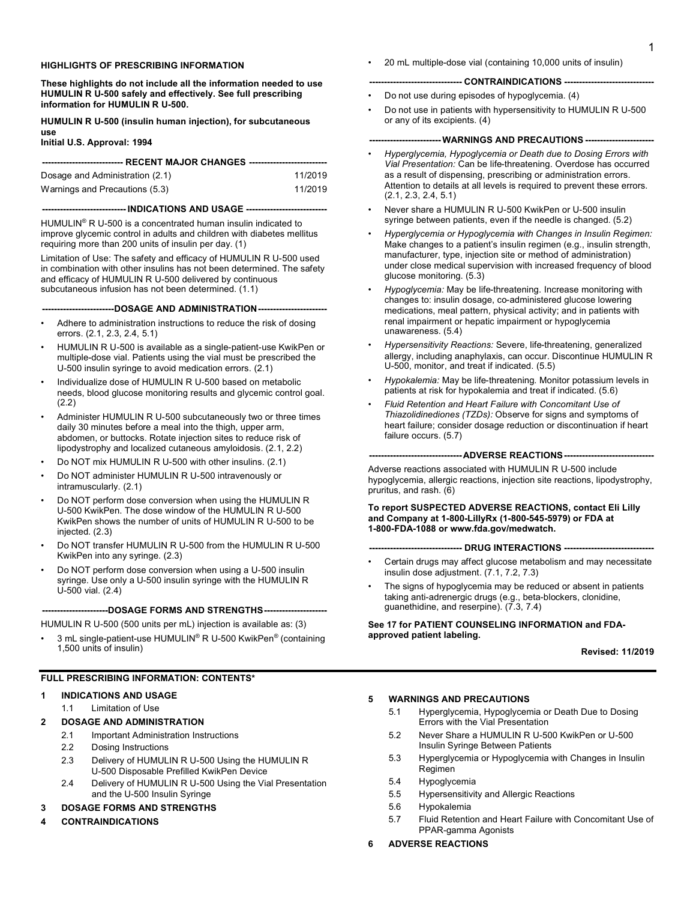#### **HIGHLIGHTS OF PRESCRIBING INFORMATION**

**These highlights do not include all the information needed to use HUMULIN R U-500 safely and effectively. See full prescribing information for HUMULIN R U-500.**

**HUMULIN R U-500 (insulin human injection), for subcutaneous use**

**Initial U.S. Approval: 1994**

| --------------------------- RECENT MAJOR CHANGES ------------------------------ |         |  |
|---------------------------------------------------------------------------------|---------|--|
| Dosage and Administration (2.1)                                                 | 11/2019 |  |
| Warnings and Precautions (5.3)                                                  | 11/2019 |  |

#### **---------------------------- INDICATIONS AND USAGE ---------------------------**

HUMULIN® R U-500 is a concentrated human insulin indicated to improve glycemic control in adults and children with diabetes mellitus requiring more than 200 units of insulin per day. (1)

Limitation of Use: The safety and efficacy of HUMULIN R U-500 used in combination with other insulins has not been determined. The safety and efficacy of HUMULIN R U-500 delivered by continuous subcutaneous infusion has not been determined. (1.1)

**------------------------DOSAGE AND ADMINISTRATION-----------------------**

- Adhere to administration instructions to reduce the risk of dosing errors. (2.1, 2.3, 2.4, 5.1)
- HUMULIN R U-500 is available as a single-patient-use KwikPen or multiple-dose vial. Patients using the vial must be prescribed the U-500 insulin syringe to avoid medication errors. (2.1)
- Individualize dose of HUMULIN R U-500 based on metabolic needs, blood glucose monitoring results and glycemic control goal. (2.2)
- Administer HUMULIN R U-500 subcutaneously two or three times daily 30 minutes before a meal into the thigh, upper arm, abdomen, or buttocks. Rotate injection sites to reduce risk of lipodystrophy and localized cutaneous amyloidosis. (2.1, 2.2)
- Do NOT mix HUMULIN R U-500 with other insulins. (2.1)
- Do NOT administer HUMULIN R U-500 intravenously or intramuscularly. (2.1)
- Do NOT perform dose conversion when using the HUMULIN R U-500 KwikPen. The dose window of the HUMULIN R U-500 KwikPen shows the number of units of HUMULIN R U-500 to be injected. (2.3)
- Do NOT transfer HUMULIN R U-500 from the HUMULIN R U-500 KwikPen into any syringe. (2.3)
- Do NOT perform dose conversion when using a U-500 insulin syringe. Use only a U-500 insulin syringe with the HUMULIN R U-500 vial. (2.4)

#### ---DOSAGE FORMS AND STRENGTHS----

HUMULIN R U-500 (500 units per mL) injection is available as: (3)

3 mL single-patient-use HUMULIN® R U-500 KwikPen® (containing 1,500 units of insulin)

#### **FULL PRESCRIBING INFORMATION: CONTENTS\***

#### **1 INDICATIONS AND USAGE**

1.1 Limitation of Use

#### **2 DOSAGE AND ADMINISTRATION**

- 2.1 Important Administration Instructions
- 2.2 Dosing Instructions
- 2.3 Delivery of HUMULIN R U-500 Using the HUMULIN R U-500 Disposable Prefilled KwikPen Device
- 2.4 Delivery of HUMULIN R U-500 Using the Vial Presentation and the U-500 Insulin Syringe

#### **3 DOSAGE FORMS AND STRENGTHS**

**4 CONTRAINDICATIONS**

• 20 mL multiple-dose vial (containing 10,000 units of insulin)

#### **------------------------------- CONTRAINDICATIONS ------------------------------**

- Do not use during episodes of hypoglycemia. (4)
- Do not use in patients with hypersensitivity to HUMULIN R U-500 or any of its excipients. (4)

#### **------------------------ WARNINGS AND PRECAUTIONS -----------------------**

- *Hyperglycemia, Hypoglycemia or Death due to Dosing Errors with Vial Presentation:* Can be life-threatening. Overdose has occurred as a result of dispensing, prescribing or administration errors. Attention to details at all levels is required to prevent these errors. (2.1, 2.3, 2.4, 5.1)
- Never share a HUMULIN R U-500 KwikPen or U-500 insulin syringe between patients, even if the needle is changed. (5.2)
- *Hyperglycemia or Hypoglycemia with Changes in Insulin Regimen:* Make changes to a patient's insulin regimen (e.g., insulin strength, manufacturer, type, injection site or method of administration) under close medical supervision with increased frequency of blood glucose monitoring. (5.3)
- *Hypoglycemia:* May be life-threatening. Increase monitoring with changes to: insulin dosage, co-administered glucose lowering medications, meal pattern, physical activity; and in patients with renal impairment or hepatic impairment or hypoglycemia unawareness. (5.4)
- *Hypersensitivity Reactions:* Severe, life-threatening, generalized allergy, including anaphylaxis, can occur. Discontinue HUMULIN R U-500, monitor, and treat if indicated. (5.5)
- *Hypokalemia:* May be life-threatening. Monitor potassium levels in patients at risk for hypokalemia and treat if indicated. (5.6)
- *Fluid Retention and Heart Failure with Concomitant Use of Thiazolidinediones (TZDs):* Observe for signs and symptoms of heart failure; consider dosage reduction or discontinuation if heart failure occurs. (5.7)

#### **-------------------------------ADVERSE REACTIONS------------------------------**

Adverse reactions associated with HUMULIN R U-500 include hypoglycemia, allergic reactions, injection site reactions, lipodystrophy, pruritus, and rash. (6)

#### **To report SUSPECTED ADVERSE REACTIONS, contact Eli Lilly and Company at 1-800-LillyRx (1-800-545-5979) or FDA at 1-800-FDA-1088 or www.fda.gov/medwatch.**

**------------------------------- DRUG INTERACTIONS ------------------------------**

- Certain drugs may affect glucose metabolism and may necessitate insulin dose adjustment. (7.1, 7.2, 7.3)
- The signs of hypoglycemia may be reduced or absent in patients taking anti-adrenergic drugs (e.g., beta-blockers, clonidine, guanethidine, and reserpine). (7.3, 7.4)

#### **See 17 for PATIENT COUNSELING INFORMATION and FDAapproved patient labeling.**

#### **Revised: 11/2019**

#### **5 WARNINGS AND PRECAUTIONS**

- 5.1 Hyperglycemia, Hypoglycemia or Death Due to Dosing Errors with the Vial Presentation
- 5.2 Never Share a HUMULIN R U-500 KwikPen or U-500 Insulin Syringe Between Patients
- 5.3 Hyperglycemia or Hypoglycemia with Changes in Insulin Regimen
- 5.4 Hypoglycemia
- 5.5 Hypersensitivity and Allergic Reactions
- 5.6 Hypokalemia
- 5.7 Fluid Retention and Heart Failure with Concomitant Use of PPAR-gamma Agonists
- **6 ADVERSE REACTIONS**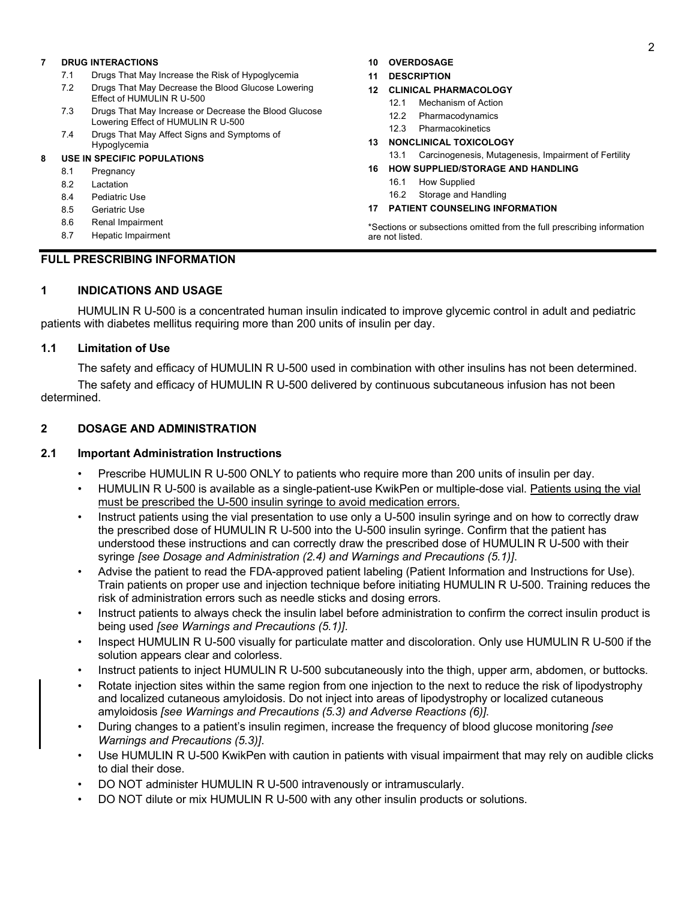### **7 DRUG INTERACTIONS**

- 7.1 Drugs That May Increase the Risk of Hypoglycemia
- 7.2 Drugs That May Decrease the Blood Glucose Lowering Effect of HUMULIN R U-500
- 7.3 Drugs That May Increase or Decrease the Blood Glucose Lowering Effect of HUMULIN R U-500
- 7.4 Drugs That May Affect Signs and Symptoms of Hypoglycemia

### **8 USE IN SPECIFIC POPULATIONS**

- 8.1 Pregnancy
- 8.2 Lactation
- 8.4 Pediatric Use
- 8.5 Geriatric Use
- 8.6 Renal Impairment
- 8.7 Hepatic Impairment

## **10 OVERDOSAGE**

**11 DESCRIPTION**

#### **12 CLINICAL PHARMACOLOGY**

- 12.1 Mechanism of Action
- 12.2 Pharmacodynamics
- 12.3 Pharmacokinetics

#### **13 NONCLINICAL TOXICOLOGY**

13.1 Carcinogenesis, Mutagenesis, Impairment of Fertility

### **16 HOW SUPPLIED/STORAGE AND HANDLING**

- 16.1 How Supplied
- 16.2 Storage and Handling

### **17 PATIENT COUNSELING INFORMATION**

\*Sections or subsections omitted from the full prescribing information are not listed.

# **FULL PRESCRIBING INFORMATION**

# **1 INDICATIONS AND USAGE**

HUMULIN R U-500 is a concentrated human insulin indicated to improve glycemic control in adult and pediatric patients with diabetes mellitus requiring more than 200 units of insulin per day.

## **1.1 Limitation of Use**

The safety and efficacy of HUMULIN R U-500 used in combination with other insulins has not been determined.

The safety and efficacy of HUMULIN R U-500 delivered by continuous subcutaneous infusion has not been determined.

# **2 DOSAGE AND ADMINISTRATION**

## **2.1 Important Administration Instructions**

- Prescribe HUMULIN R U-500 ONLY to patients who require more than 200 units of insulin per day.
- HUMULIN R U-500 is available as a single-patient-use KwikPen or multiple-dose vial. Patients using the vial must be prescribed the U-500 insulin syringe to avoid medication errors.
- Instruct patients using the vial presentation to use only a U-500 insulin syringe and on how to correctly draw the prescribed dose of HUMULIN R U-500 into the U-500 insulin syringe. Confirm that the patient has understood these instructions and can correctly draw the prescribed dose of HUMULIN R U-500 with their syringe *[see Dosage and Administration (2.4) and Warnings and Precautions (5.1)]*.
- Advise the patient to read the FDA-approved patient labeling (Patient Information and Instructions for Use). Train patients on proper use and injection technique before initiating HUMULIN R U-500. Training reduces the risk of administration errors such as needle sticks and dosing errors.
- Instruct patients to always check the insulin label before administration to confirm the correct insulin product is being used *[see Warnings and Precautions (5.1)]*.
- Inspect HUMULIN R U-500 visually for particulate matter and discoloration. Only use HUMULIN R U-500 if the solution appears clear and colorless.
- Instruct patients to inject HUMULIN R U-500 subcutaneously into the thigh, upper arm, abdomen, or buttocks.
- Rotate injection sites within the same region from one injection to the next to reduce the risk of lipodystrophy and localized cutaneous amyloidosis. Do not inject into areas of lipodystrophy or localized cutaneous amyloidosis *[see Warnings and Precautions (5.3) and Adverse Reactions (6)]*.
- During changes to a patient's insulin regimen, increase the frequency of blood glucose monitoring *[see Warnings and Precautions (5.3)]*.
- Use HUMULIN R U-500 KwikPen with caution in patients with visual impairment that may rely on audible clicks to dial their dose.
- DO NOT administer HUMULIN R U-500 intravenously or intramuscularly.
- DO NOT dilute or mix HUMULIN R U-500 with any other insulin products or solutions.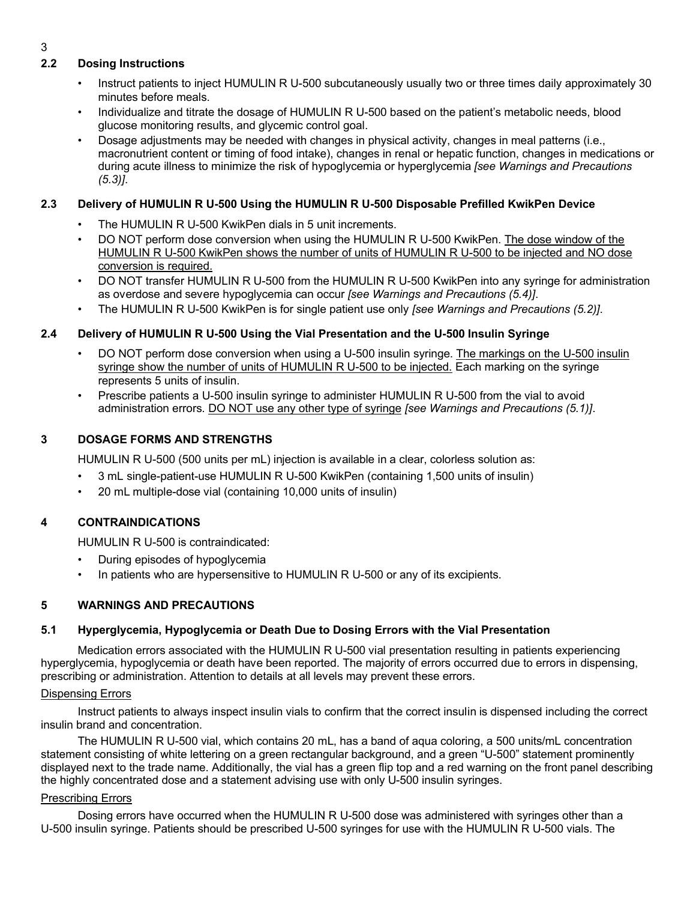# **2.2 Dosing Instructions**

- Instruct patients to inject HUMULIN R U-500 subcutaneously usually two or three times daily approximately 30 minutes before meals.
- Individualize and titrate the dosage of HUMULIN R U-500 based on the patient's metabolic needs, blood glucose monitoring results, and glycemic control goal.
- Dosage adjustments may be needed with changes in physical activity, changes in meal patterns (i.e., macronutrient content or timing of food intake), changes in renal or hepatic function, changes in medications or during acute illness to minimize the risk of hypoglycemia or hyperglycemia *[see Warnings and Precautions (5.3)]*.

# **2.3 Delivery of HUMULIN R U-500 Using the HUMULIN R U-500 Disposable Prefilled KwikPen Device**

- The HUMULIN R U-500 KwikPen dials in 5 unit increments.
- DO NOT perform dose conversion when using the HUMULIN R U-500 KwikPen. The dose window of the HUMULIN R U-500 KwikPen shows the number of units of HUMULIN R U-500 to be injected and NO dose conversion is required.
- DO NOT transfer HUMULIN R U-500 from the HUMULIN R U-500 KwikPen into any syringe for administration as overdose and severe hypoglycemia can occur *[see Warnings and Precautions (5.4)]*.
- The HUMULIN R U-500 KwikPen is for single patient use only *[see Warnings and Precautions (5.2)]*.

# **2.4 Delivery of HUMULIN R U-500 Using the Vial Presentation and the U-500 Insulin Syringe**

- DO NOT perform dose conversion when using a U-500 insulin syringe. The markings on the U-500 insulin syringe show the number of units of HUMULIN R U-500 to be injected. Each marking on the syringe represents 5 units of insulin.
- Prescribe patients a U-500 insulin syringe to administer HUMULIN R U-500 from the vial to avoid administration errors. DO NOT use any other type of syringe *[see Warnings and Precautions (5.1)]*.

# **3 DOSAGE FORMS AND STRENGTHS**

HUMULIN R U-500 (500 units per mL) injection is available in a clear, colorless solution as:

- 3 mL single-patient-use HUMULIN R U-500 KwikPen (containing 1,500 units of insulin)
- 20 mL multiple-dose vial (containing 10,000 units of insulin)

# **4 CONTRAINDICATIONS**

HUMULIN R U-500 is contraindicated:

- During episodes of hypoglycemia
- In patients who are hypersensitive to HUMULIN R U-500 or any of its excipients.

## **5 WARNINGS AND PRECAUTIONS**

# **5.1 Hyperglycemia, Hypoglycemia or Death Due to Dosing Errors with the Vial Presentation**

Medication errors associated with the HUMULIN R U-500 vial presentation resulting in patients experiencing hyperglycemia, hypoglycemia or death have been reported. The majority of errors occurred due to errors in dispensing, prescribing or administration. Attention to details at all levels may prevent these errors.

# Dispensing Errors

Instruct patients to always inspect insulin vials to confirm that the correct insulin is dispensed including the correct insulin brand and concentration.

The HUMULIN R U-500 vial, which contains 20 mL, has a band of aqua coloring, a 500 units/mL concentration statement consisting of white lettering on a green rectangular background, and a green "U-500" statement prominently displayed next to the trade name. Additionally, the vial has a green flip top and a red warning on the front panel describing the highly concentrated dose and a statement advising use with only U-500 insulin syringes.

## Prescribing Errors

Dosing errors have occurred when the HUMULIN R U-500 dose was administered with syringes other than a U-500 insulin syringe. Patients should be prescribed U-500 syringes for use with the HUMULIN R U-500 vials. The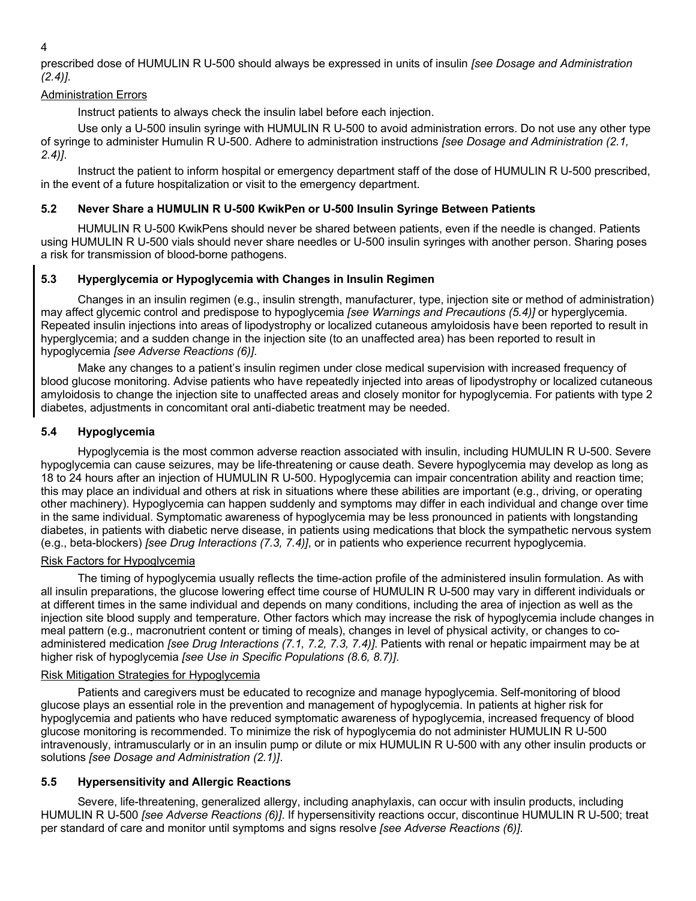4

prescribed dose of HUMULIN R U-500 should always be expressed in units of insulin *[see Dosage and Administration (2.4)]*.

# Administration Errors

Instruct patients to always check the insulin label before each injection.

Use only a U-500 insulin syringe with HUMULIN R U-500 to avoid administration errors. Do not use any other type of syringe to administer Humulin R U-500. Adhere to administration instructions *[see Dosage and Administration (2.1, 2.4)]*.

Instruct the patient to inform hospital or emergency department staff of the dose of HUMULIN R U-500 prescribed, in the event of a future hospitalization or visit to the emergency department.

# **5.2 Never Share a HUMULIN R U-500 KwikPen or U-500 Insulin Syringe Between Patients**

HUMULIN R U-500 KwikPens should never be shared between patients, even if the needle is changed. Patients using HUMULIN R U-500 vials should never share needles or U-500 insulin syringes with another person. Sharing poses a risk for transmission of blood-borne pathogens.

# **5.3 Hyperglycemia or Hypoglycemia with Changes in Insulin Regimen**

Changes in an insulin regimen (e.g., insulin strength, manufacturer, type, injection site or method of administration) may affect glycemic control and predispose to hypoglycemia *[see Warnings and Precautions (5.4)]* or hyperglycemia. Repeated insulin injections into areas of lipodystrophy or localized cutaneous amyloidosis have been reported to result in hyperglycemia; and a sudden change in the injection site (to an unaffected area) has been reported to result in hypoglycemia *[see Adverse Reactions (6)]*.

Make any changes to a patient's insulin regimen under close medical supervision with increased frequency of blood glucose monitoring. Advise patients who have repeatedly injected into areas of lipodystrophy or localized cutaneous amyloidosis to change the injection site to unaffected areas and closely monitor for hypoglycemia. For patients with type 2 diabetes, adjustments in concomitant oral anti-diabetic treatment may be needed.

# **5.4 Hypoglycemia**

Hypoglycemia is the most common adverse reaction associated with insulin, including HUMULIN R U-500. Severe hypoglycemia can cause seizures, may be life-threatening or cause death. Severe hypoglycemia may develop as long as 18 to 24 hours after an injection of HUMULIN R U-500. Hypoglycemia can impair concentration ability and reaction time; this may place an individual and others at risk in situations where these abilities are important (e.g., driving, or operating other machinery). Hypoglycemia can happen suddenly and symptoms may differ in each individual and change over time in the same individual. Symptomatic awareness of hypoglycemia may be less pronounced in patients with longstanding diabetes, in patients with diabetic nerve disease, in patients using medications that block the sympathetic nervous system (e.g., beta-blockers) *[see Drug Interactions (7.3, 7.4)]*, or in patients who experience recurrent hypoglycemia.

# Risk Factors for Hypoglycemia

The timing of hypoglycemia usually reflects the time-action profile of the administered insulin formulation. As with all insulin preparations, the glucose lowering effect time course of HUMULIN R U-500 may vary in different individuals or at different times in the same individual and depends on many conditions, including the area of injection as well as the injection site blood supply and temperature. Other factors which may increase the risk of hypoglycemia include changes in meal pattern (e.g., macronutrient content or timing of meals), changes in level of physical activity, or changes to coadministered medication *[see Drug Interactions (7.1, 7.2, 7.3, 7.4)]*. Patients with renal or hepatic impairment may be at higher risk of hypoglycemia *[see Use in Specific Populations (8.6, 8.7)]*.

# Risk Mitigation Strategies for Hypoglycemia

Patients and caregivers must be educated to recognize and manage hypoglycemia. Self-monitoring of blood glucose plays an essential role in the prevention and management of hypoglycemia. In patients at higher risk for hypoglycemia and patients who have reduced symptomatic awareness of hypoglycemia, increased frequency of blood glucose monitoring is recommended. To minimize the risk of hypoglycemia do not administer HUMULIN R U-500 intravenously, intramuscularly or in an insulin pump or dilute or mix HUMULIN R U-500 with any other insulin products or solutions *[see Dosage and Administration (2.1)]*.

# **5.5 Hypersensitivity and Allergic Reactions**

Severe, life-threatening, generalized allergy, including anaphylaxis, can occur with insulin products, including HUMULIN R U-500 *[see Adverse Reactions (6)]*. If hypersensitivity reactions occur, discontinue HUMULIN R U-500; treat per standard of care and monitor until symptoms and signs resolve *[see Adverse Reactions (6)]*.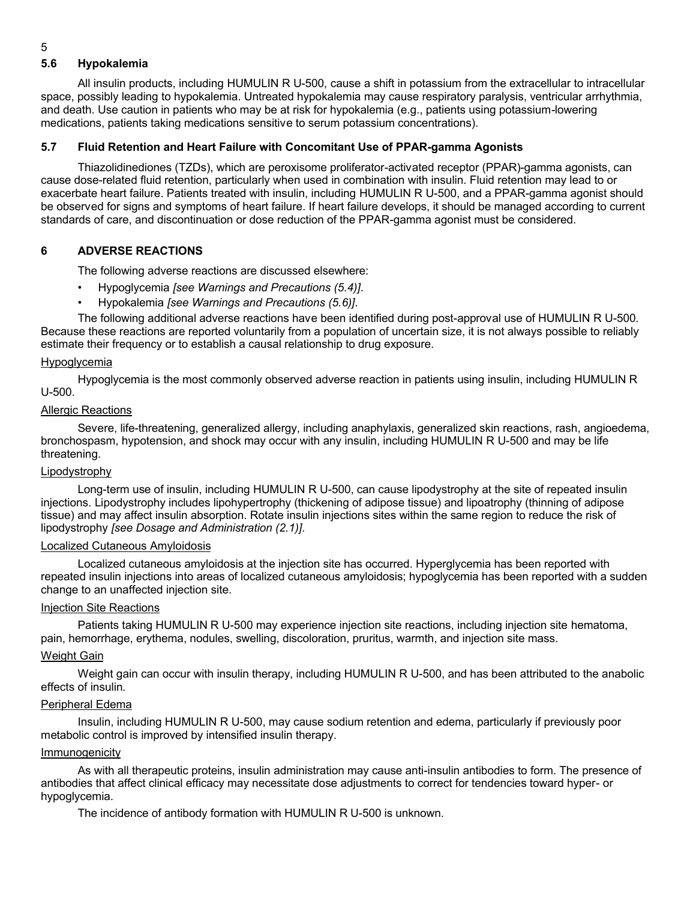# **5.6 Hypokalemia**

All insulin products, including HUMULIN R U-500, cause a shift in potassium from the extracellular to intracellular space, possibly leading to hypokalemia. Untreated hypokalemia may cause respiratory paralysis, ventricular arrhythmia, and death. Use caution in patients who may be at risk for hypokalemia (e.g., patients using potassium-lowering medications, patients taking medications sensitive to serum potassium concentrations).

# **5.7 Fluid Retention and Heart Failure with Concomitant Use of PPAR-gamma Agonists**

Thiazolidinediones (TZDs), which are peroxisome proliferator-activated receptor (PPAR)-gamma agonists, can cause dose-related fluid retention, particularly when used in combination with insulin. Fluid retention may lead to or exacerbate heart failure. Patients treated with insulin, including HUMULIN R U-500, and a PPAR-gamma agonist should be observed for signs and symptoms of heart failure. If heart failure develops, it should be managed according to current standards of care, and discontinuation or dose reduction of the PPAR-gamma agonist must be considered.

# **6 ADVERSE REACTIONS**

The following adverse reactions are discussed elsewhere:

- Hypoglycemia *[see Warnings and Precautions (5.4)]*.
- Hypokalemia *[see Warnings and Precautions (5.6)]*.

The following additional adverse reactions have been identified during post-approval use of HUMULIN R U-500. Because these reactions are reported voluntarily from a population of uncertain size, it is not always possible to reliably estimate their frequency or to establish a causal relationship to drug exposure.

### Hypoglycemia

Hypoglycemia is the most commonly observed adverse reaction in patients using insulin, including HUMULIN R U-500.

### Allergic Reactions

Severe, life-threatening, generalized allergy, including anaphylaxis, generalized skin reactions, rash, angioedema, bronchospasm, hypotension, and shock may occur with any insulin, including HUMULIN R U-500 and may be life threatening.

## Lipodystrophy

Long-term use of insulin, including HUMULIN R U-500, can cause lipodystrophy at the site of repeated insulin injections. Lipodystrophy includes lipohypertrophy (thickening of adipose tissue) and lipoatrophy (thinning of adipose tissue) and may affect insulin absorption. Rotate insulin injections sites within the same region to reduce the risk of lipodystrophy *[see Dosage and Administration (2.1)]*.

### Localized Cutaneous Amyloidosis

Localized cutaneous amyloidosis at the injection site has occurred. Hyperglycemia has been reported with repeated insulin injections into areas of localized cutaneous amyloidosis; hypoglycemia has been reported with a sudden change to an unaffected injection site.

## Injection Site Reactions

Patients taking HUMULIN R U-500 may experience injection site reactions, including injection site hematoma, pain, hemorrhage, erythema, nodules, swelling, discoloration, pruritus, warmth, and injection site mass.

# Weight Gain

Weight gain can occur with insulin therapy, including HUMULIN R U-500, and has been attributed to the anabolic effects of insulin.

#### Peripheral Edema

Insulin, including HUMULIN R U-500, may cause sodium retention and edema, particularly if previously poor metabolic control is improved by intensified insulin therapy.

#### Immunogenicity

As with all therapeutic proteins, insulin administration may cause anti-insulin antibodies to form. The presence of antibodies that affect clinical efficacy may necessitate dose adjustments to correct for tendencies toward hyper- or hypoglycemia.

The incidence of antibody formation with HUMULIN R U-500 is unknown.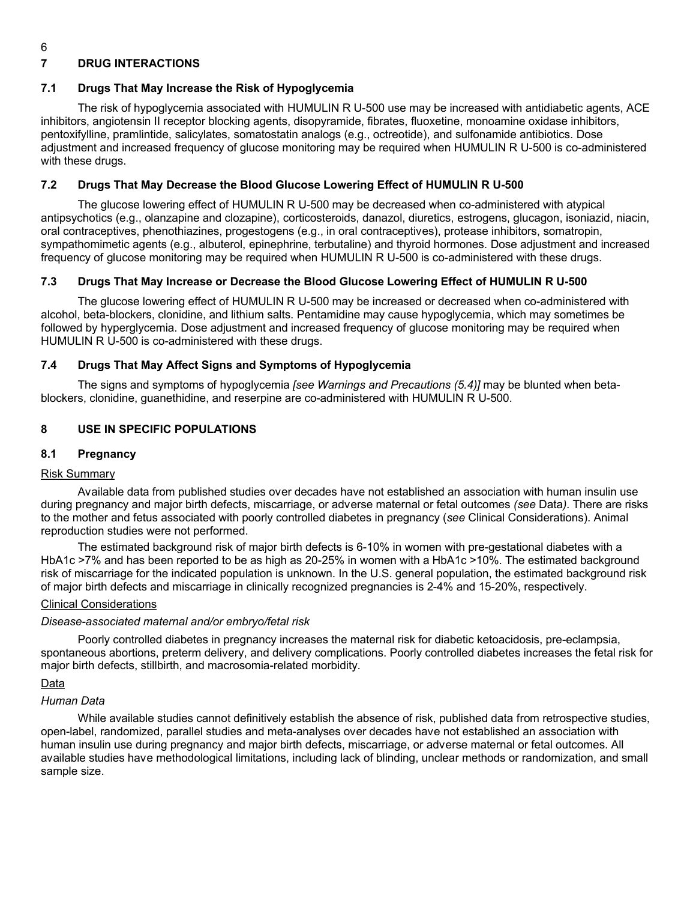# 6

# **7 DRUG INTERACTIONS**

### **7.1 Drugs That May Increase the Risk of Hypoglycemia**

The risk of hypoglycemia associated with HUMULIN R U-500 use may be increased with antidiabetic agents, ACE inhibitors, angiotensin II receptor blocking agents, disopyramide, fibrates, fluoxetine, monoamine oxidase inhibitors, pentoxifylline, pramlintide, salicylates, somatostatin analogs (e.g., octreotide), and sulfonamide antibiotics. Dose adjustment and increased frequency of glucose monitoring may be required when HUMULIN R U-500 is co-administered with these drugs.

### **7.2 Drugs That May Decrease the Blood Glucose Lowering Effect of HUMULIN R U-500**

The glucose lowering effect of HUMULIN R U-500 may be decreased when co-administered with atypical antipsychotics (e.g., olanzapine and clozapine), corticosteroids, danazol, diuretics, estrogens, glucagon, isoniazid, niacin, oral contraceptives, phenothiazines, progestogens (e.g., in oral contraceptives), protease inhibitors, somatropin, sympathomimetic agents (e.g., albuterol, epinephrine, terbutaline) and thyroid hormones. Dose adjustment and increased frequency of glucose monitoring may be required when HUMULIN R U-500 is co-administered with these drugs.

### **7.3 Drugs That May Increase or Decrease the Blood Glucose Lowering Effect of HUMULIN R U-500**

The glucose lowering effect of HUMULIN R U-500 may be increased or decreased when co-administered with alcohol, beta-blockers, clonidine, and lithium salts. Pentamidine may cause hypoglycemia, which may sometimes be followed by hyperglycemia. Dose adjustment and increased frequency of glucose monitoring may be required when HUMULIN R U-500 is co-administered with these drugs.

## **7.4 Drugs That May Affect Signs and Symptoms of Hypoglycemia**

The signs and symptoms of hypoglycemia *[see Warnings and Precautions (5.4)]* may be blunted when betablockers, clonidine, guanethidine, and reserpine are co-administered with HUMULIN R U-500.

### **8 USE IN SPECIFIC POPULATIONS**

### **8.1 Pregnancy**

## Risk Summary

Available data from published studies over decades have not established an association with human insulin use during pregnancy and major birth defects, miscarriage, or adverse maternal or fetal outcomes *(see* Data*)*. There are risks to the mother and fetus associated with poorly controlled diabetes in pregnancy (*see* Clinical Considerations). Animal reproduction studies were not performed.

The estimated background risk of major birth defects is 6-10% in women with pre-gestational diabetes with a HbA1c >7% and has been reported to be as high as 20-25% in women with a HbA1c >10%. The estimated background risk of miscarriage for the indicated population is unknown. In the U.S. general population, the estimated background risk of major birth defects and miscarriage in clinically recognized pregnancies is 2-4% and 15-20%, respectively.

### Clinical Considerations

### *Disease-associated maternal and/or embryo/fetal risk*

Poorly controlled diabetes in pregnancy increases the maternal risk for diabetic ketoacidosis, pre-eclampsia, spontaneous abortions, preterm delivery, and delivery complications. Poorly controlled diabetes increases the fetal risk for major birth defects, stillbirth, and macrosomia-related morbidity.

#### Data

## *Human Data*

While available studies cannot definitively establish the absence of risk, published data from retrospective studies, open-label, randomized, parallel studies and meta-analyses over decades have not established an association with human insulin use during pregnancy and major birth defects, miscarriage, or adverse maternal or fetal outcomes. All available studies have methodological limitations, including lack of blinding, unclear methods or randomization, and small sample size.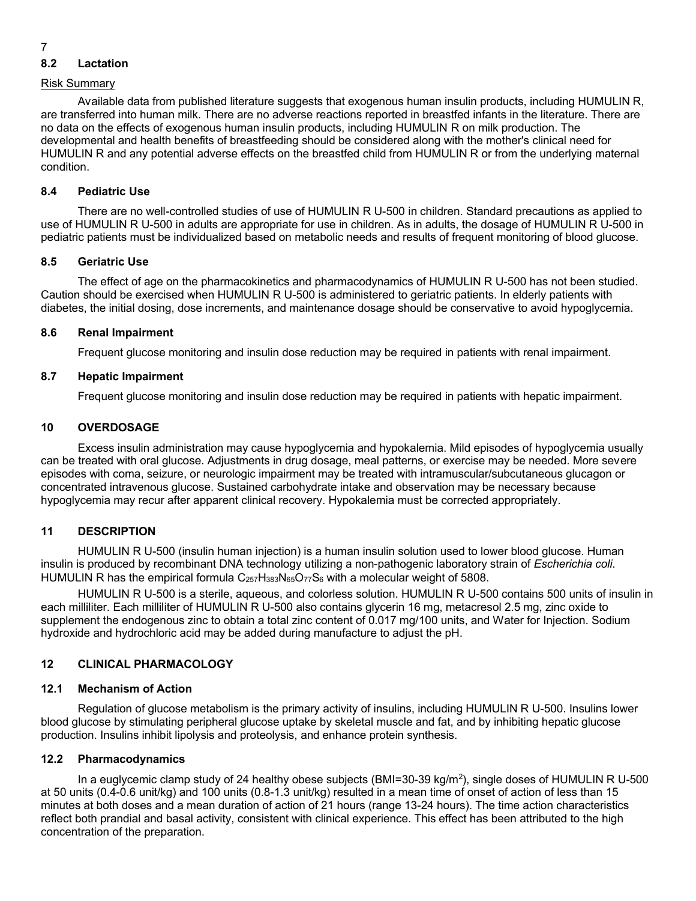# **8.2 Lactation**

## Risk Summary

Available data from published literature suggests that exogenous human insulin products, including HUMULIN R, are transferred into human milk. There are no adverse reactions reported in breastfed infants in the literature. There are no data on the effects of exogenous human insulin products, including HUMULIN R on milk production. The developmental and health benefits of breastfeeding should be considered along with the mother's clinical need for HUMULIN R and any potential adverse effects on the breastfed child from HUMULIN R or from the underlying maternal condition.

# **8.4 Pediatric Use**

There are no well-controlled studies of use of HUMULIN R U-500 in children. Standard precautions as applied to use of HUMULIN R U-500 in adults are appropriate for use in children. As in adults, the dosage of HUMULIN R U-500 in pediatric patients must be individualized based on metabolic needs and results of frequent monitoring of blood glucose.

# **8.5 Geriatric Use**

The effect of age on the pharmacokinetics and pharmacodynamics of HUMULIN R U-500 has not been studied. Caution should be exercised when HUMULIN R U-500 is administered to geriatric patients. In elderly patients with diabetes, the initial dosing, dose increments, and maintenance dosage should be conservative to avoid hypoglycemia.

# **8.6 Renal Impairment**

Frequent glucose monitoring and insulin dose reduction may be required in patients with renal impairment.

# **8.7 Hepatic Impairment**

Frequent glucose monitoring and insulin dose reduction may be required in patients with hepatic impairment.

# **10 OVERDOSAGE**

Excess insulin administration may cause hypoglycemia and hypokalemia. Mild episodes of hypoglycemia usually can be treated with oral glucose. Adjustments in drug dosage, meal patterns, or exercise may be needed. More severe episodes with coma, seizure, or neurologic impairment may be treated with intramuscular/subcutaneous glucagon or concentrated intravenous glucose. Sustained carbohydrate intake and observation may be necessary because hypoglycemia may recur after apparent clinical recovery. Hypokalemia must be corrected appropriately.

# **11 DESCRIPTION**

HUMULIN R U-500 (insulin human injection) is a human insulin solution used to lower blood glucose. Human insulin is produced by recombinant DNA technology utilizing a non-pathogenic laboratory strain of *Escherichia coli*. HUMULIN R has the empirical formula  $C_{257}H_{383}N_{65}O_{77}S_6$  with a molecular weight of 5808.

HUMULIN R U-500 is a sterile, aqueous, and colorless solution. HUMULIN R U-500 contains 500 units of insulin in each milliliter. Each milliliter of HUMULIN R U-500 also contains glycerin 16 mg, metacresol 2.5 mg, zinc oxide to supplement the endogenous zinc to obtain a total zinc content of 0.017 mg/100 units, and Water for Injection. Sodium hydroxide and hydrochloric acid may be added during manufacture to adjust the pH.

# **12 CLINICAL PHARMACOLOGY**

# **12.1 Mechanism of Action**

Regulation of glucose metabolism is the primary activity of insulins, including HUMULIN R U-500. Insulins lower blood glucose by stimulating peripheral glucose uptake by skeletal muscle and fat, and by inhibiting hepatic glucose production. Insulins inhibit lipolysis and proteolysis, and enhance protein synthesis.

# **12.2 Pharmacodynamics**

In a euglycemic clamp study of 24 healthy obese subjects (BMI=30-39 kg/m<sup>2</sup>), single doses of HUMULIN R U-500 at 50 units (0.4-0.6 unit/kg) and 100 units (0.8-1.3 unit/kg) resulted in a mean time of onset of action of less than 15 minutes at both doses and a mean duration of action of 21 hours (range 13-24 hours). The time action characteristics reflect both prandial and basal activity, consistent with clinical experience. This effect has been attributed to the high concentration of the preparation.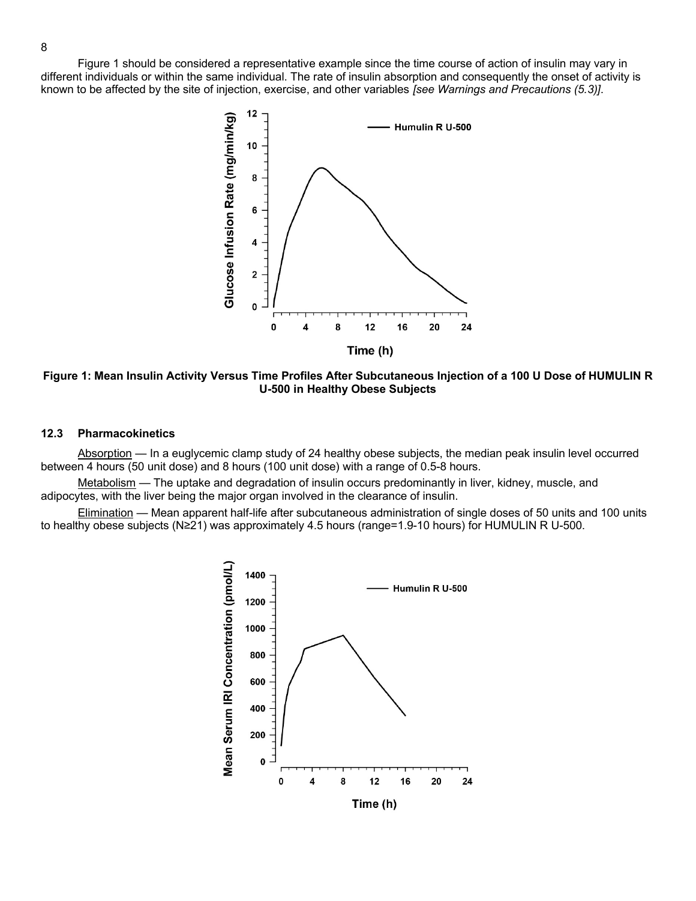Figure 1 should be considered a representative example since the time course of action of insulin may vary in different individuals or within the same individual. The rate of insulin absorption and consequently the onset of activity is known to be affected by the site of injection, exercise, and other variables *[see Warnings and Precautions (5.3)]*.



**Figure 1: Mean Insulin Activity Versus Time Profiles After Subcutaneous Injection of a 100 U Dose of HUMULIN R U-500 in Healthy Obese Subjects**

## **12.3 Pharmacokinetics**

Absorption — In a euglycemic clamp study of 24 healthy obese subjects, the median peak insulin level occurred between 4 hours (50 unit dose) and 8 hours (100 unit dose) with a range of 0.5-8 hours.

Metabolism — The uptake and degradation of insulin occurs predominantly in liver, kidney, muscle, and adipocytes, with the liver being the major organ involved in the clearance of insulin.

Elimination — Mean apparent half-life after subcutaneous administration of single doses of 50 units and 100 units to healthy obese subjects (N≥21) was approximately 4.5 hours (range=1.9-10 hours) for HUMULIN R U-500.

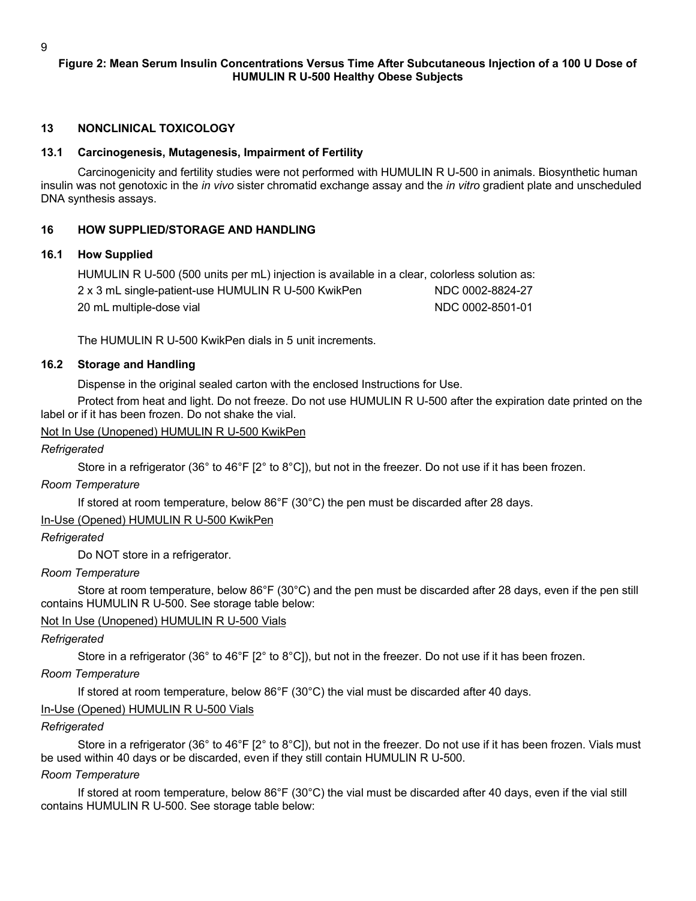# **Figure 2: Mean Serum Insulin Concentrations Versus Time After Subcutaneous Injection of a 100 U Dose of HUMULIN R U-500 Healthy Obese Subjects**

# **13 NONCLINICAL TOXICOLOGY**

### **13.1 Carcinogenesis, Mutagenesis, Impairment of Fertility**

Carcinogenicity and fertility studies were not performed with HUMULIN R U-500 in animals. Biosynthetic human insulin was not genotoxic in the *in vivo* sister chromatid exchange assay and the *in vitro* gradient plate and unscheduled DNA synthesis assays.

### **16 HOW SUPPLIED/STORAGE AND HANDLING**

### **16.1 How Supplied**

HUMULIN R U-500 (500 units per mL) injection is available in a clear, colorless solution as:

| 2 x 3 mL single-patient-use HUMULIN R U-500 KwikPen | NDC 0002-8824-27 |
|-----------------------------------------------------|------------------|
| 20 mL multiple-dose vial                            | NDC 0002-8501-01 |

The HUMULIN R U-500 KwikPen dials in 5 unit increments.

### **16.2 Storage and Handling**

Dispense in the original sealed carton with the enclosed Instructions for Use.

Protect from heat and light. Do not freeze. Do not use HUMULIN R U-500 after the expiration date printed on the label or if it has been frozen. Do not shake the vial.

## Not In Use (Unopened) HUMULIN R U-500 KwikPen

*Refrigerated*

Store in a refrigerator (36° to 46°F [2° to 8°C]), but not in the freezer. Do not use if it has been frozen.

## *Room Temperature*

If stored at room temperature, below 86°F (30°C) the pen must be discarded after 28 days.

## In-Use (Opened) HUMULIN R U-500 KwikPen

## *Refrigerated*

Do NOT store in a refrigerator.

## *Room Temperature*

Store at room temperature, below 86°F (30°C) and the pen must be discarded after 28 days, even if the pen still contains HUMULIN R U-500. See storage table below:

#### Not In Use (Unopened) HUMULIN R U-500 Vials

## *Refrigerated*

Store in a refrigerator (36° to 46°F [2° to 8°C]), but not in the freezer. Do not use if it has been frozen.

# *Room Temperature*

If stored at room temperature, below 86°F (30°C) the vial must be discarded after 40 days.

## In-Use (Opened) HUMULIN R U-500 Vials

## *Refrigerated*

Store in a refrigerator (36° to 46°F [2° to 8°C]), but not in the freezer. Do not use if it has been frozen. Vials must be used within 40 days or be discarded, even if they still contain HUMULIN R U-500.

# *Room Temperature*

If stored at room temperature, below 86°F (30°C) the vial must be discarded after 40 days, even if the vial still contains HUMULIN R U-500. See storage table below: